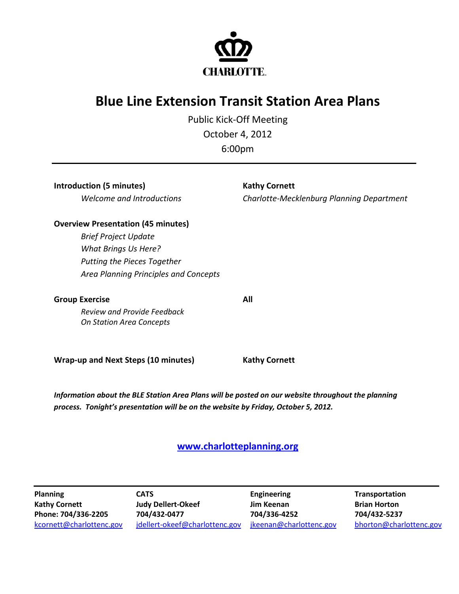

## **Blue Line Extension Transit Station Area Plans**

Public Kick-Off Meeting October 4, 2012

| 6:00 <sub>pm</sub> |  |
|--------------------|--|
|--------------------|--|

**Introduction (5 minutes) Kathy Cornett** 

*Welcome and Introductions Charlotte-Mecklenburg Planning Department*

## **Overview Presentation (45 minutes)**

*Brief Project Update What Brings Us Here? Putting the Pieces Together Area Planning Principles and Concepts*

**Group Exercise All**

*Review and Provide Feedback On Station Area Concepts*

**Wrap-up and Next Steps (10 minutes) Kathy Cornett**

*Information about the BLE Station Area Plans will be posted on our website throughout the planning process. Tonight's presentation will be on the website by Friday, October 5, 2012.*

## **[www.charlotteplanning.org](http://www.charlotteplanning.org/)**

**Planning Kathy Cornett CATS Judy Dellert-Okeef Engineering Jim Keenan Transportation Brian Horton Phone: 704/336-2205 704/432-0477 704/336-4252 704/432-5237** [kcornett@charlottenc.gov](mailto:kcornett@charlottenc.gov) [jdellert-okeef@charlottenc.gov](mailto:jdellert-okeef@charlottenc.gov) [jkeenan@charlottenc.gov](mailto:jkeenan@charlottenc.gov) [bhorton@charlottenc.gov](mailto:bhorton@charlottenc.gov)